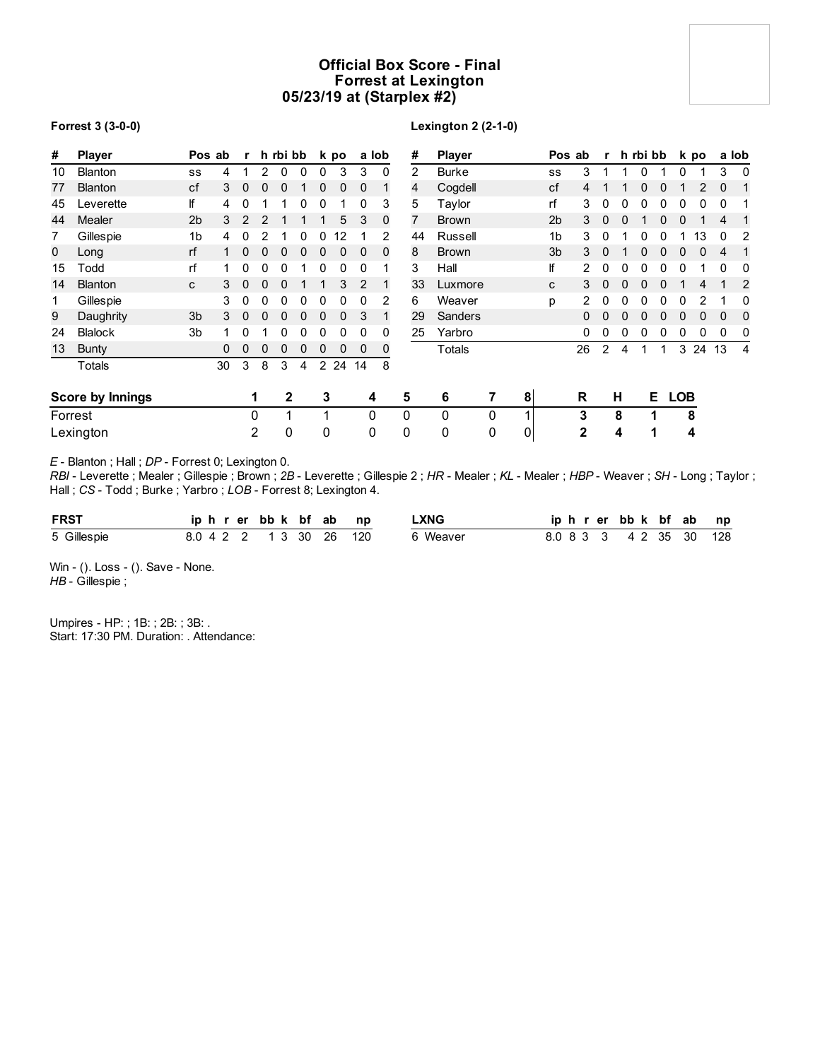# **Official Box Score - Final Forrest at Lexington 05/23/19 at (Starplex #2)**

## **Forrest 3 (3-0-0)**

# **Lexington 2 (2-1-0)**

| #  | Player                  |                | Pos ab | r              |   | h rbi bb |   |                | k po         |                | a lob          | #              | <b>Player</b> |   |                | Pos ab         |                | r              |              | h rbi bb |    |            | k po |          | a lob          |
|----|-------------------------|----------------|--------|----------------|---|----------|---|----------------|--------------|----------------|----------------|----------------|---------------|---|----------------|----------------|----------------|----------------|--------------|----------|----|------------|------|----------|----------------|
| 10 | <b>Blanton</b>          | SS             | 4      |                | 2 | 0        | 0 | 0              | 3            | 3              | 0              | $\overline{2}$ | <b>Burke</b>  |   |                | SS             | 3              |                |              |          |    | 0          |      | 3        | 0              |
| 77 | Blanton                 | cf             | 3      | $\Omega$       | 0 | 0        |   | 0              | 0            | $\mathbf 0$    |                | 4              | Cogdell       |   |                | cf             | 4              |                |              |          | 0  |            |      | $\Omega$ | 1              |
| 45 | Leverette               | lf             | 4      | 0              |   |          | 0 | 0              |              | 0              | 3              | 5              | Taylor        |   |                | rf             | 3              | 0              |              |          |    |            | 0    | 0        |                |
| 44 | Mealer                  | 2 <sub>b</sub> | 3      | $\overline{2}$ | 2 |          |   |                | 5            | 3              | 0              | 7              | <b>Brown</b>  |   |                | 2 <sub>b</sub> | 3              | $\mathbf{0}$   |              |          |    | 0          |      | 4        |                |
|    | Gillespie               | 1b             | 4      | 0              | 2 |          | 0 | 0              | 12           |                | 2              | 44             | Russell       |   |                | 1b             | 3              | 0              |              |          |    |            | 13   | 0        | 2              |
| 0  | Long                    | rf             |        | 0              | 0 | 0        | 0 | 0              | $\mathbf{0}$ | $\mathbf 0$    | 0              | 8              | <b>Brown</b>  |   |                | 3 <sub>b</sub> | 3              | $\Omega$       |              |          |    |            | 0    | 4        | -1             |
| 15 | Todd                    | rf             |        | 0              | 0 | 0        |   | 0              | 0            | 0              |                | 3              | Hall          |   |                | lf             | 2              | 0              | 0            |          |    | 0          |      | 0        | 0              |
| 14 | Blanton                 | C              | 3      | 0              | 0 | 0        |   |                | 3            | $\overline{2}$ |                | 33             | Luxmore       |   |                | C              | 3              | $\mathbf{0}$   | $\mathbf{0}$ | $\Omega$ | 0  |            | 4    |          | $\overline{2}$ |
|    | Gillespie               |                | 3      | 0              | 0 | 0        | 0 | 0              | 0            | 0              | $\overline{2}$ | 6              | Weaver        |   |                | p              | $\overline{2}$ | 0              | 0            | 0        | 0  | 0          | 2    |          | 0              |
| 9  | Daughrity               | 3 <sub>b</sub> | 3      | 0              | 0 | 0        | 0 | 0              | 0            | 3              |                | 29             | Sanders       |   |                |                | 0              | 0              |              |          | U  | 0          | 0    | 0        | 0              |
| 24 | <b>Blalock</b>          | 3 <sub>b</sub> |        | 0              |   | 0        | 0 | 0              | 0            | 0              | 0              | 25             | Yarbro        |   |                |                | 0              | 0              | 0            | 0        | 0  | 0          | 0    | 0        | 0              |
| 13 | <b>Bunty</b>            |                |        | 0              | 0 | 0        | 0 | $\Omega$       | $\Omega$     | 0              | 0              |                | Totals        |   |                |                | 26             | $\overline{2}$ | 4            |          |    | 3          | 24   | 13       | 4              |
|    | Totals                  |                | 30     | 3              | 8 | 3        | 4 | $\overline{2}$ | 24           | 14             | 8              |                |               |   |                |                |                |                |              |          |    |            |      |          |                |
|    | <b>Score by Innings</b> |                |        |                |   | 2        |   | 3              |              | 4              |                | 5              | 6             | 7 | 8              |                | R              |                | н            |          | E. | <b>LOB</b> |      |          |                |
|    | Forrest                 |                |        |                | 0 | 1        |   | 1              |              | 0              |                | 0              | 0             | 0 |                |                | 3              |                | 8            |          |    |            | 8    |          |                |
|    | Lexington               |                |        |                | 2 | 0        |   | 0              |              | $\pmb{0}$      |                | 0              | 0             | 0 | $\overline{0}$ |                | $\mathbf{2}$   |                | 4            |          | 1  |            | 4    |          |                |

*E* - Blanton ; Hall ; *DP* - Forrest 0; Lexington 0.

*RBI* - Leverette ; Mealer ; Gillespie ; Brown ; *2B* - Leverette ; Gillespie 2 ; *HR* - Mealer ; *KL* - Mealer ; *HBP* - Weaver ; *SH* - Long ; Taylor ; Hall ; *CS* - Todd ; Burke ; Yarbro ; *LOB* - Forrest 8; Lexington 4.

| <b>FRST</b> |  |  |  |  | iphrerbbk bfab np       | .XNG     |  | iphrerbbk bfab np       |  |  |
|-------------|--|--|--|--|-------------------------|----------|--|-------------------------|--|--|
| 5 Gillespie |  |  |  |  | 8.0 4 2 2 1 3 30 26 120 | 6 Weaver |  | 8.0 8 3 3 4 2 35 30 128 |  |  |

Win - (). Loss - (). Save - None. *HB* - Gillespie ;

Umpires - HP: ; 1B: ; 2B: ; 3B: . Start: 17:30 PM. Duration: . Attendance: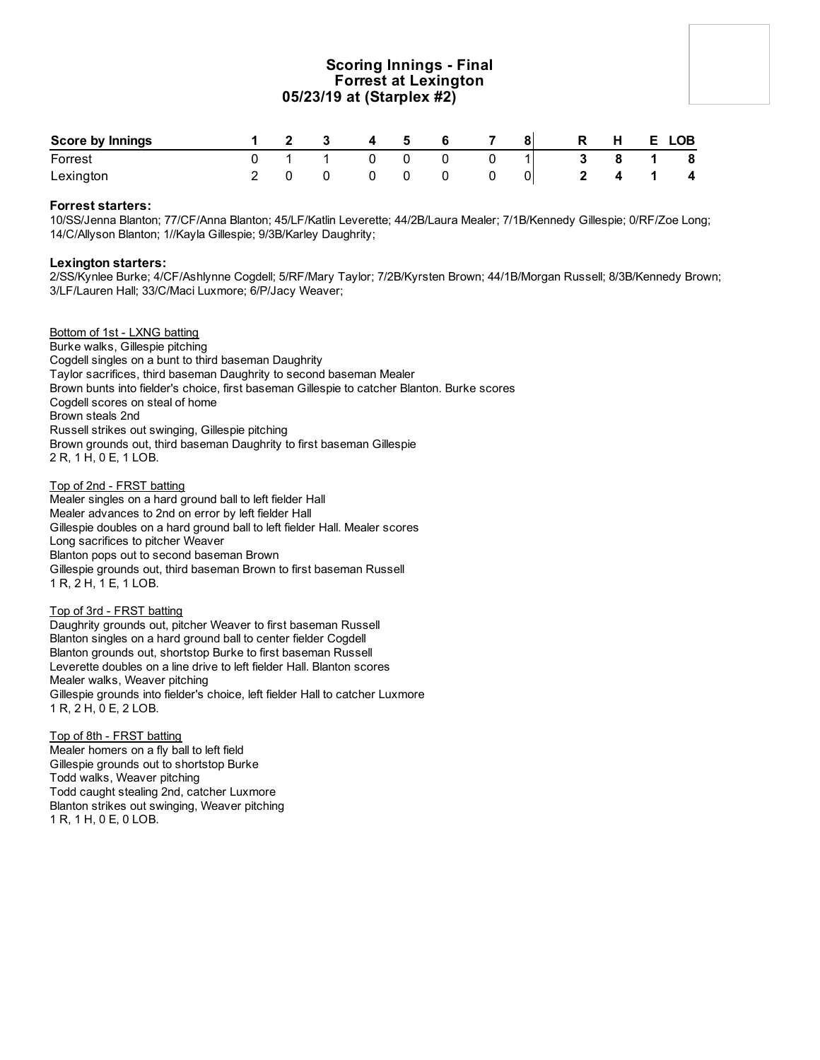# **Scoring Innings - Final Forrest at Lexington 05/23/19 at (Starplex #2)**

| <b>Score by Innings</b> |  |  | -5 |  | 81 | R | H | E.             | <b>LOB</b>              |
|-------------------------|--|--|----|--|----|---|---|----------------|-------------------------|
| Forrest                 |  |  |    |  |    |   | 8 | $\blacksquare$ | 8                       |
| Lexington               |  |  |    |  |    |   | 4 |                | $\overline{\mathbf{4}}$ |

## **Forrest starters:**

10/SS/Jenna Blanton; 77/CF/Anna Blanton; 45/LF/Katlin Leverette; 44/2B/Laura Mealer; 7/1B/Kennedy Gillespie; 0/RF/Zoe Long; 14/C/Allyson Blanton; 1//Kayla Gillespie; 9/3B/Karley Daughrity;

## **Lexington starters:**

2/SS/Kynlee Burke; 4/CF/Ashlynne Cogdell; 5/RF/Mary Taylor; 7/2B/Kyrsten Brown; 44/1B/Morgan Russell; 8/3B/Kennedy Brown; 3/LF/Lauren Hall; 33/C/Maci Luxmore; 6/P/Jacy Weaver;

## Bottom of 1st - LXNG batting

Burke walks, Gillespie pitching Cogdell singles on a bunt to third baseman Daughrity Taylor sacrifices, third baseman Daughrity to second baseman Mealer Brown bunts into fielder's choice, first baseman Gillespie to catcher Blanton. Burke scores Cogdell scores on steal of home Brown steals 2nd Russell strikes out swinging, Gillespie pitching Brown grounds out, third baseman Daughrity to first baseman Gillespie 2 R, 1 H, 0 E, 1 LOB.

#### Top of 2nd - FRST batting

Mealer singles on a hard ground ball to left fielder Hall Mealer advances to 2nd on error by left fielder Hall Gillespie doubles on a hard ground ball to left fielder Hall. Mealer scores Long sacrifices to pitcher Weaver Blanton pops out to second baseman Brown Gillespie grounds out, third baseman Brown to first baseman Russell 1 R, 2 H, 1 E, 1 LOB.

## Top of 3rd - FRST batting

Daughrity grounds out, pitcher Weaver to first baseman Russell Blanton singles on a hard ground ball to center fielder Cogdell Blanton grounds out, shortstop Burke to first baseman Russell Leverette doubles on a line drive to left fielder Hall. Blanton scores Mealer walks, Weaver pitching Gillespie grounds into fielder's choice, left fielder Hall to catcher Luxmore 1 R, 2 H, 0 E, 2 LOB.

Top of 8th - FRST batting Mealer homers on a fly ball to left field Gillespie grounds out to shortstop Burke Todd walks, Weaver pitching Todd caught stealing 2nd, catcher Luxmore Blanton strikes out swinging, Weaver pitching 1 R, 1 H, 0 E, 0 LOB.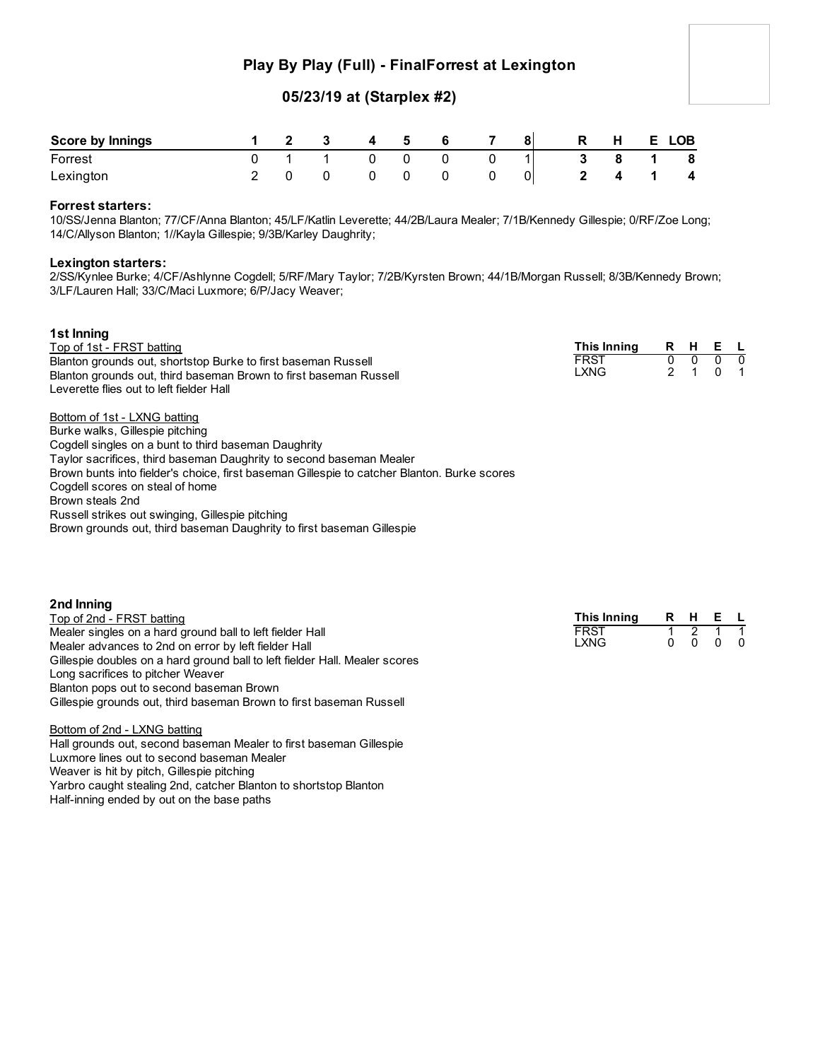# **Play By Play (Full) - FinalForrest at Lexington**

# **05/23/19 at (Starplex #2)**

| <b>Score by Innings</b> |  |          | 4 5            | 6   |  | R I | H  | E. | <b>LOB</b>              |
|-------------------------|--|----------|----------------|-----|--|-----|----|----|-------------------------|
| Forrest                 |  | $\Omega$ | $\overline{0}$ | - 0 |  | - 3 | 81 |    | 8                       |
| Lexington               |  |          |                |     |  |     |    |    | $\overline{\mathbf{4}}$ |

# **Forrest starters:**

10/SS/Jenna Blanton; 77/CF/Anna Blanton; 45/LF/Katlin Leverette; 44/2B/Laura Mealer; 7/1B/Kennedy Gillespie; 0/RF/Zoe Long; 14/C/Allyson Blanton; 1//Kayla Gillespie; 9/3B/Karley Daughrity;

## **Lexington starters:**

2/SS/Kynlee Burke; 4/CF/Ashlynne Cogdell; 5/RF/Mary Taylor; 7/2B/Kyrsten Brown; 44/1B/Morgan Russell; 8/3B/Kennedy Brown; 3/LF/Lauren Hall; 33/C/Maci Luxmore; 6/P/Jacy Weaver;

| 1st Inning                                                                                  |             |    |          |     |     |
|---------------------------------------------------------------------------------------------|-------------|----|----------|-----|-----|
| Top of 1st - FRST batting                                                                   | This Inning | R. | н        | E L |     |
| Blanton grounds out, shortstop Burke to first baseman Russell                               | <b>FRST</b> | 0  | $\Omega$ |     | - 0 |
| Blanton grounds out, third baseman Brown to first baseman Russell                           | LXNG        |    |          |     |     |
| Leverette flies out to left fielder Hall                                                    |             |    |          |     |     |
| Bottom of 1st - LXNG batting                                                                |             |    |          |     |     |
| Burke walks, Gillespie pitching                                                             |             |    |          |     |     |
| Cogdell singles on a bunt to third baseman Daughrity                                        |             |    |          |     |     |
| Taylor sacrifices, third baseman Daughrity to second baseman Mealer                         |             |    |          |     |     |
| Brown bunts into fielder's choice, first baseman Gillespie to catcher Blanton. Burke scores |             |    |          |     |     |
| Cogdell scores on steal of home                                                             |             |    |          |     |     |
| Brown steals 2nd                                                                            |             |    |          |     |     |
| Russell strikes out swinging, Gillespie pitching                                            |             |    |          |     |     |
|                                                                                             |             |    |          |     |     |

Brown grounds out, third baseman Daughrity to first baseman Gillespie

| 2nd Inning                                                                  |             |      |                          |  |
|-----------------------------------------------------------------------------|-------------|------|--------------------------|--|
| Top of 2nd - FRST batting                                                   | This Inning | RHEL |                          |  |
| Mealer singles on a hard ground ball to left fielder Hall                   | <b>FRST</b> |      |                          |  |
| Mealer advances to 2nd on error by left fielder Hall                        | <b>LXNG</b> |      | $0\quad 0\quad 0\quad 0$ |  |
| Gillespie doubles on a hard ground ball to left fielder Hall. Mealer scores |             |      |                          |  |
| Long sacrifices to pitcher Weaver                                           |             |      |                          |  |
| Blanton pops out to second baseman Brown                                    |             |      |                          |  |

Bottom of 2nd - LXNG batting Hall grounds out, second baseman Mealer to first baseman Gillespie Luxmore lines out to second baseman Mealer Weaver is hit by pitch, Gillespie pitching Yarbro caught stealing 2nd, catcher Blanton to shortstop Blanton

Gillespie grounds out, third baseman Brown to first baseman Russell

Half-inning ended by out on the base paths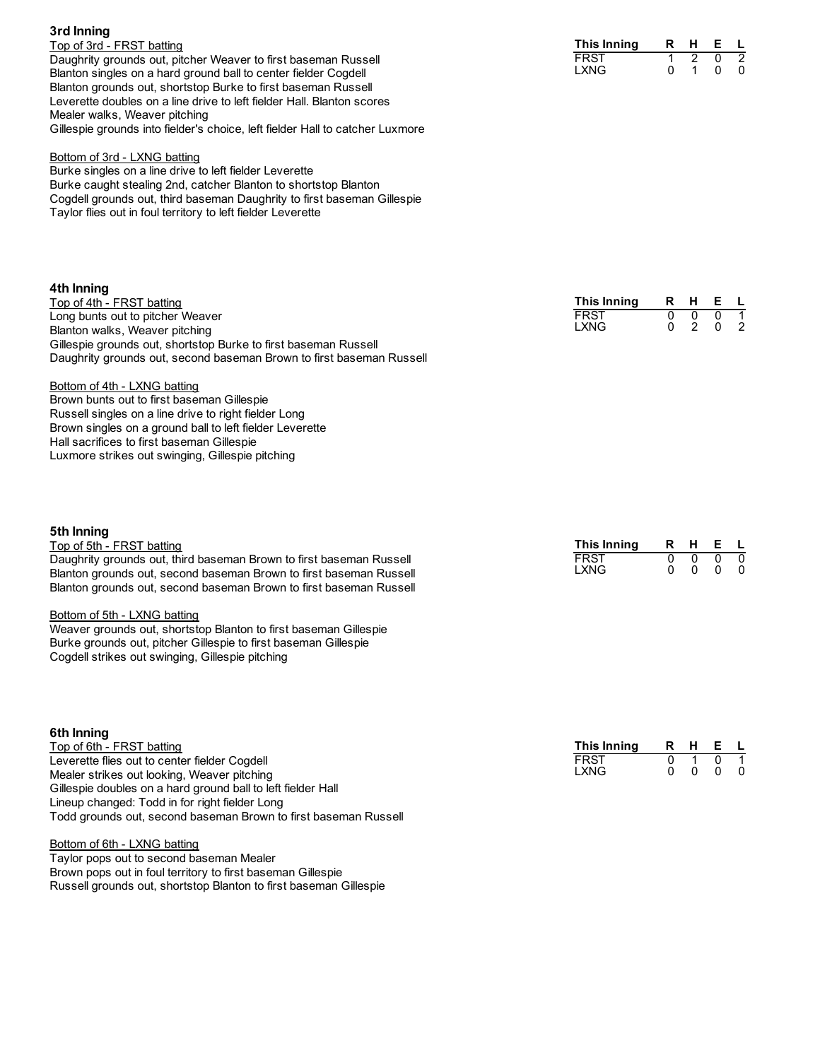# **3rd Inning**

Top of 3rd - FRST batting Daughrity grounds out, pitcher Weaver to first baseman Russell Blanton singles on a hard ground ball to center fielder Cogdell Blanton grounds out, shortstop Burke to first baseman Russell Leverette doubles on a line drive to left fielder Hall. Blanton scores Mealer walks, Weaver pitching Gillespie grounds into fielder's choice, left fielder Hall to catcher Luxmore

#### Bottom of 3rd - LXNG batting

Burke singles on a line drive to left fielder Leverette Burke caught stealing 2nd, catcher Blanton to shortstop Blanton Cogdell grounds out, third baseman Daughrity to first baseman Gillespie Taylor flies out in foul territory to left fielder Leverette

## **4th Inning**

Top of 4th - FRST batting Long bunts out to pitcher Weaver Blanton walks, Weaver pitching Gillespie grounds out, shortstop Burke to first baseman Russell Daughrity grounds out, second baseman Brown to first baseman Russell

## Bottom of 4th - LXNG batting

Brown bunts out to first baseman Gillespie Russell singles on a line drive to right fielder Long Brown singles on a ground ball to left fielder Leverette Hall sacrifices to first baseman Gillespie Luxmore strikes out swinging, Gillespie pitching

# **5th Inning**

### Top of 5th - FRST batting

Daughrity grounds out, third baseman Brown to first baseman Russell Blanton grounds out, second baseman Brown to first baseman Russell Blanton grounds out, second baseman Brown to first baseman Russell

#### Bottom of 5th - LXNG batting

Weaver grounds out, shortstop Blanton to first baseman Gillespie Burke grounds out, pitcher Gillespie to first baseman Gillespie Cogdell strikes out swinging, Gillespie pitching

# **6th Inning**

Top of 6th - FRST batting Leverette flies out to center fielder Cogdell Mealer strikes out looking, Weaver pitching Gillespie doubles on a hard ground ball to left fielder Hall Lineup changed: Todd in for right fielder Long Todd grounds out, second baseman Brown to first baseman Russell

#### Bottom of 6th - LXNG batting

Taylor pops out to second baseman Mealer Brown pops out in foul territory to first baseman Gillespie Russell grounds out, shortstop Blanton to first baseman Gillespie

| This Inning | R. | н | F |  |
|-------------|----|---|---|--|
| FRST        |    |   |   |  |
| LXNG        |    |   |   |  |

| This Inning | н | Е |  |
|-------------|---|---|--|
| FRST        |   |   |  |
| LXNG        |   | n |  |

| This Inning | R | н | E |   |
|-------------|---|---|---|---|
| FRST        |   | n | n | 0 |
| LXNG        |   | n |   | 0 |

| This Inning | R | н | F. |   |
|-------------|---|---|----|---|
| FRST        |   |   |    |   |
| LXNG        |   | n |    | 0 |